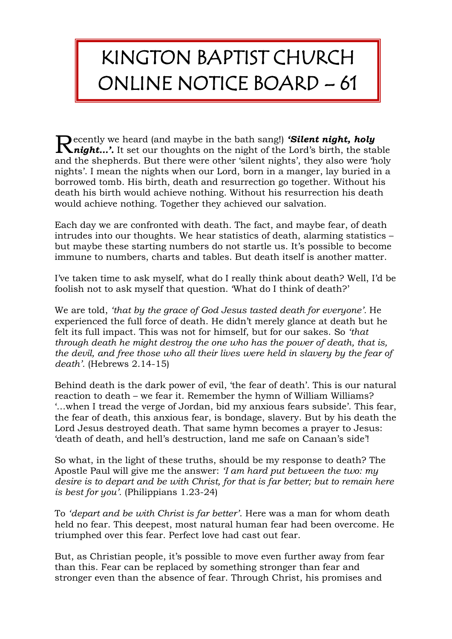## KINGTON BAPTIST CHURCH ONLINE NOTICE BOARD – 61

ecently we heard (and maybe in the bath sang!) *'Silent night, holy*  Recently we heard (and maybe in the bath sang!) **Silent night, holy**<br> **Raight...'.** It set our thoughts on the night of the Lord's birth, the stable and the shepherds. But there were other 'silent nights', they also were 'holy nights'. I mean the nights when our Lord, born in a manger, lay buried in a borrowed tomb. His birth, death and resurrection go together. Without his death his birth would achieve nothing. Without his resurrection his death would achieve nothing. Together they achieved our salvation.

Each day we are confronted with death. The fact, and maybe fear, of death intrudes into our thoughts. We hear statistics of death, alarming statistics – but maybe these starting numbers do not startle us. It's possible to become immune to numbers, charts and tables. But death itself is another matter.

I've taken time to ask myself, what do I really think about death? Well, I'd be foolish not to ask myself that question. 'What do I think of death?'

We are told, *'that by the grace of God Jesus tasted death for everyone'.* He experienced the full force of death. He didn't merely glance at death but he felt its full impact. This was not for himself, but for our sakes. So *'that through death he might destroy the one who has the power of death, that is, the devil, and free those who all their lives were held in slavery by the fear of death'.* (Hebrews 2.14-15)

Behind death is the dark power of evil, 'the fear of death'. This is our natural reaction to death – we fear it. Remember the hymn of William Williams? '…when I tread the verge of Jordan, bid my anxious fears subside'. This fear, the fear of death, this anxious fear, is bondage, slavery. But by his death the Lord Jesus destroyed death. That same hymn becomes a prayer to Jesus: 'death of death, and hell's destruction, land me safe on Canaan's side'!

So what, in the light of these truths, should be my response to death? The Apostle Paul will give me the answer: *'I am hard put between the two: my desire is to depart and be with Christ, for that is far better; but to remain here is best for you'.* (Philippians 1.23-24)

To *'depart and be with Christ is far better'*. Here was a man for whom death held no fear. This deepest, most natural human fear had been overcome. He triumphed over this fear. Perfect love had cast out fear.

But, as Christian people, it's possible to move even further away from fear than this. Fear can be replaced by something stronger than fear and stronger even than the absence of fear. Through Christ, his promises and